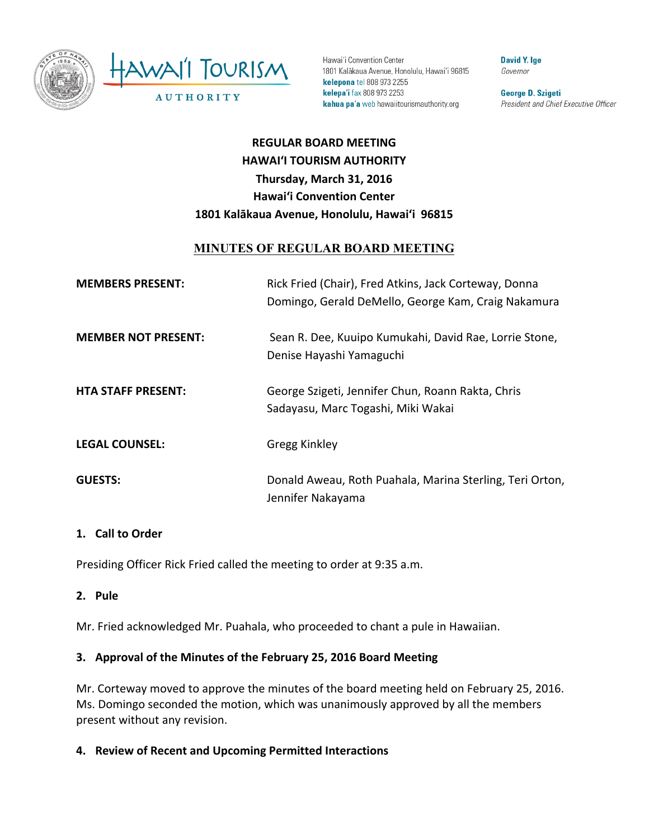

Hawai'i Convention Center 1801 Kalākaua Avenue, Honolulu, Hawai'i 96815 kelepona tel 808 973 2255 kelepa'i fax 808 973 2253 kahua pa'a web hawaiitourismauthority.org

**David Y. Ige** Governor

George D. Szigeti President and Chief Executive Officer

# **REGULAR BOARD MEETING HAWAI'I TOURISM AUTHORITY Thursday, March 31, 2016 Hawai'i Convention Center** 1801 Kalākaua Avenue, Honolulu, Hawai'i 96815

## **MINUTES OF REGULAR BOARD MEETING**

| <b>MEMBERS PRESENT:</b>    | Rick Fried (Chair), Fred Atkins, Jack Corteway, Donna<br>Domingo, Gerald DeMello, George Kam, Craig Nakamura |
|----------------------------|--------------------------------------------------------------------------------------------------------------|
| <b>MEMBER NOT PRESENT:</b> | Sean R. Dee, Kuuipo Kumukahi, David Rae, Lorrie Stone,<br>Denise Hayashi Yamaguchi                           |
| <b>HTA STAFF PRESENT:</b>  | George Szigeti, Jennifer Chun, Roann Rakta, Chris<br>Sadayasu, Marc Togashi, Miki Wakai                      |
| <b>LEGAL COUNSEL:</b>      | Gregg Kinkley                                                                                                |
| <b>GUESTS:</b>             | Donald Aweau, Roth Puahala, Marina Sterling, Teri Orton,<br>Jennifer Nakayama                                |

#### 1. **Call to Order**

Presiding Officer Rick Fried called the meeting to order at 9:35 a.m.

#### **2. Pule**

Mr. Fried acknowledged Mr. Puahala, who proceeded to chant a pule in Hawaiian.

# **3.** Approval of the Minutes of the February 25, 2016 Board Meeting

Mr. Corteway moved to approve the minutes of the board meeting held on February 25, 2016. Ms. Domingo seconded the motion, which was unanimously approved by all the members present without any revision.

**4. Review of Recent and Upcoming Permitted Interactions**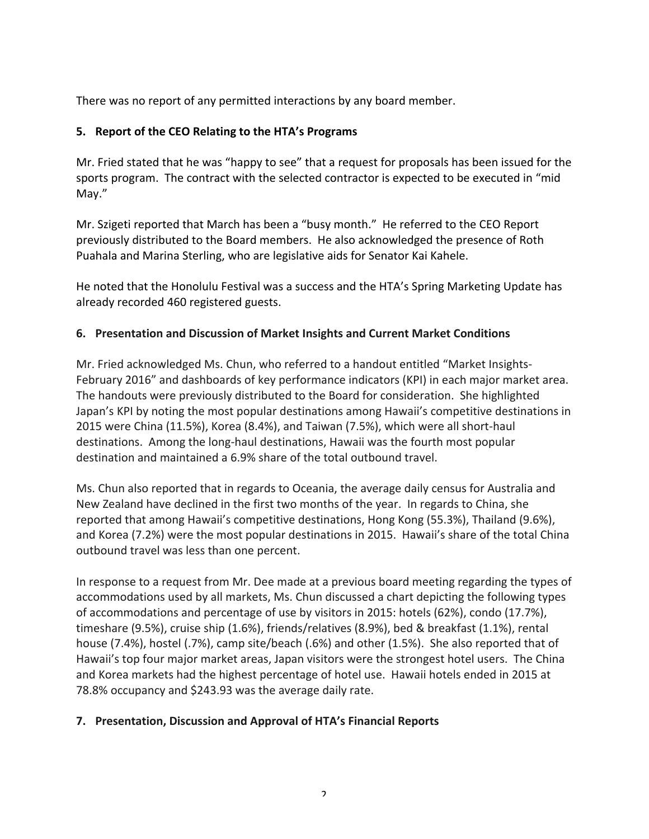There was no report of any permitted interactions by any board member.

## **5.** Report of the CEO Relating to the HTA's Programs

Mr. Fried stated that he was "happy to see" that a request for proposals has been issued for the sports program. The contract with the selected contractor is expected to be executed in "mid May." 

Mr. Szigeti reported that March has been a "busy month." He referred to the CEO Report previously distributed to the Board members. He also acknowledged the presence of Roth Puahala and Marina Sterling, who are legislative aids for Senator Kai Kahele.

He noted that the Honolulu Festival was a success and the HTA's Spring Marketing Update has already recorded 460 registered guests.

## **6. Presentation and Discussion of Market Insights and Current Market Conditions**

Mr. Fried acknowledged Ms. Chun, who referred to a handout entitled "Market Insights-February 2016" and dashboards of key performance indicators (KPI) in each major market area. The handouts were previously distributed to the Board for consideration. She highlighted Japan's KPI by noting the most popular destinations among Hawaii's competitive destinations in 2015 were China (11.5%), Korea (8.4%), and Taiwan (7.5%), which were all short-haul destinations. Among the long-haul destinations, Hawaii was the fourth most popular destination and maintained a 6.9% share of the total outbound travel.

Ms. Chun also reported that in regards to Oceania, the average daily census for Australia and New Zealand have declined in the first two months of the year. In regards to China, she reported that among Hawaii's competitive destinations, Hong Kong (55.3%), Thailand (9.6%), and Korea (7.2%) were the most popular destinations in 2015. Hawaii's share of the total China outbound travel was less than one percent.

In response to a request from Mr. Dee made at a previous board meeting regarding the types of accommodations used by all markets, Ms. Chun discussed a chart depicting the following types of accommodations and percentage of use by visitors in 2015: hotels (62%), condo (17.7%), timeshare  $(9.5%)$ , cruise ship  $(1.6%)$ , friends/relatives  $(8.9%)$ , bed & breakfast  $(1.1%)$ , rental house (7.4%), hostel (.7%), camp site/beach (.6%) and other (1.5%). She also reported that of Hawaii's top four major market areas, Japan visitors were the strongest hotel users. The China and Korea markets had the highest percentage of hotel use. Hawaii hotels ended in 2015 at 78.8% occupancy and \$243.93 was the average daily rate.

#### **7. Presentation, Discussion and Approval of HTA's Financial Reports**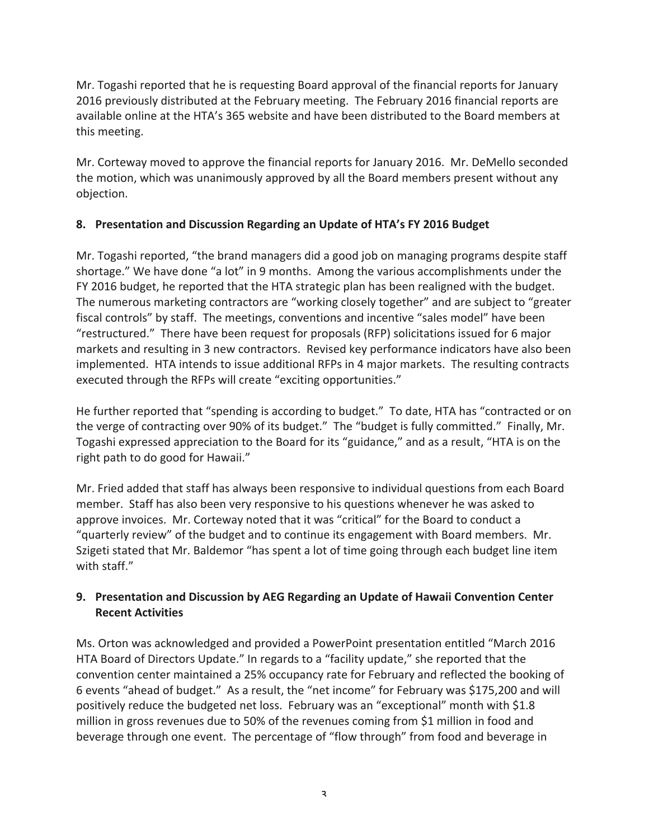Mr. Togashi reported that he is requesting Board approval of the financial reports for January 2016 previously distributed at the February meeting. The February 2016 financial reports are available online at the HTA's 365 website and have been distributed to the Board members at this meeting.

Mr. Corteway moved to approve the financial reports for January 2016. Mr. DeMello seconded the motion, which was unanimously approved by all the Board members present without any objection.

# **8. Presentation and Discussion Regarding an Update of HTA's FY 2016 Budget**

Mr. Togashi reported, "the brand managers did a good job on managing programs despite staff shortage." We have done "a lot" in 9 months. Among the various accomplishments under the FY 2016 budget, he reported that the HTA strategic plan has been realigned with the budget. The numerous marketing contractors are "working closely together" and are subject to "greater fiscal controls" by staff. The meetings, conventions and incentive "sales model" have been "restructured." There have been request for proposals (RFP) solicitations issued for 6 major markets and resulting in 3 new contractors. Revised key performance indicators have also been implemented. HTA intends to issue additional RFPs in 4 major markets. The resulting contracts executed through the RFPs will create "exciting opportunities."

He further reported that "spending is according to budget." To date, HTA has "contracted or on the verge of contracting over 90% of its budget." The "budget is fully committed." Finally, Mr. Togashi expressed appreciation to the Board for its "guidance," and as a result, "HTA is on the right path to do good for Hawaii."

Mr. Fried added that staff has always been responsive to individual questions from each Board member. Staff has also been very responsive to his questions whenever he was asked to approve invoices. Mr. Corteway noted that it was "critical" for the Board to conduct a "quarterly review" of the budget and to continue its engagement with Board members. Mr. Szigeti stated that Mr. Baldemor "has spent a lot of time going through each budget line item with staff."

## **9.** Presentation and Discussion by AEG Regarding an Update of Hawaii Convention Center **Recent Activities**

Ms. Orton was acknowledged and provided a PowerPoint presentation entitled "March 2016 HTA Board of Directors Update." In regards to a "facility update," she reported that the convention center maintained a 25% occupancy rate for February and reflected the booking of 6 events "ahead of budget." As a result, the "net income" for February was \$175,200 and will positively reduce the budgeted net loss. February was an "exceptional" month with \$1.8 million in gross revenues due to 50% of the revenues coming from \$1 million in food and beverage through one event. The percentage of "flow through" from food and beverage in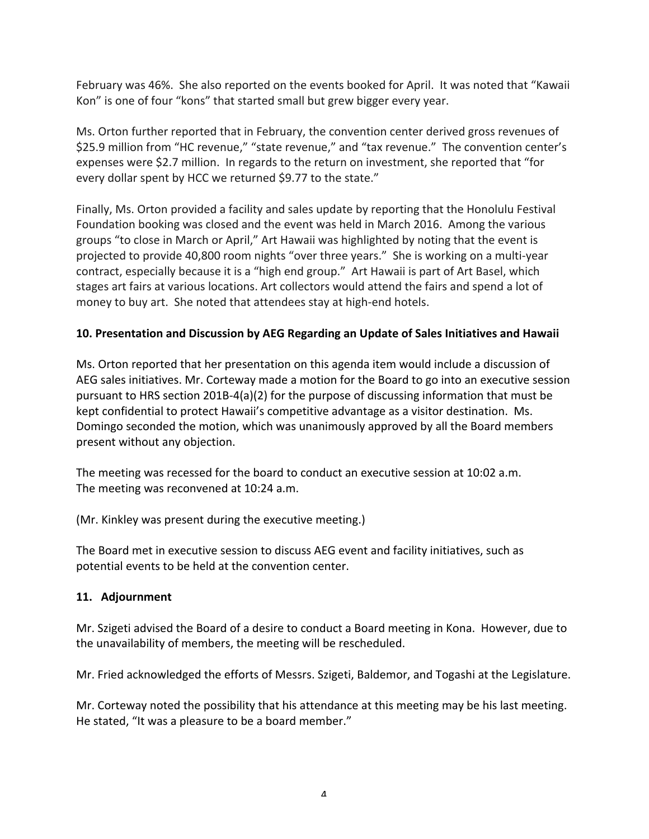February was 46%. She also reported on the events booked for April. It was noted that "Kawaii Kon" is one of four "kons" that started small but grew bigger every year.

Ms. Orton further reported that in February, the convention center derived gross revenues of \$25.9 million from "HC revenue," "state revenue," and "tax revenue." The convention center's expenses were \$2.7 million. In regards to the return on investment, she reported that "for every dollar spent by HCC we returned \$9.77 to the state."

Finally, Ms. Orton provided a facility and sales update by reporting that the Honolulu Festival Foundation booking was closed and the event was held in March 2016. Among the various groups "to close in March or April," Art Hawaii was highlighted by noting that the event is projected to provide 40,800 room nights "over three years." She is working on a multi-year contract, especially because it is a "high end group." Art Hawaii is part of Art Basel, which stages art fairs at various locations. Art collectors would attend the fairs and spend a lot of money to buy art. She noted that attendees stay at high-end hotels.

#### **10. Presentation and Discussion by AEG Regarding an Update of Sales Initiatives and Hawaii**

Ms. Orton reported that her presentation on this agenda item would include a discussion of AEG sales initiatives. Mr. Corteway made a motion for the Board to go into an executive session pursuant to HRS section 201B-4(a)(2) for the purpose of discussing information that must be kept confidential to protect Hawaii's competitive advantage as a visitor destination. Ms. Domingo seconded the motion, which was unanimously approved by all the Board members present without any objection.

The meeting was recessed for the board to conduct an executive session at 10:02 a.m. The meeting was reconvened at 10:24 a.m.

(Mr. Kinkley was present during the executive meeting.)

The Board met in executive session to discuss AEG event and facility initiatives, such as potential events to be held at the convention center.

#### **11. Adjournment**

Mr. Szigeti advised the Board of a desire to conduct a Board meeting in Kona. However, due to the unavailability of members, the meeting will be rescheduled.

Mr. Fried acknowledged the efforts of Messrs. Szigeti, Baldemor, and Togashi at the Legislature.

Mr. Corteway noted the possibility that his attendance at this meeting may be his last meeting. He stated, "It was a pleasure to be a board member."